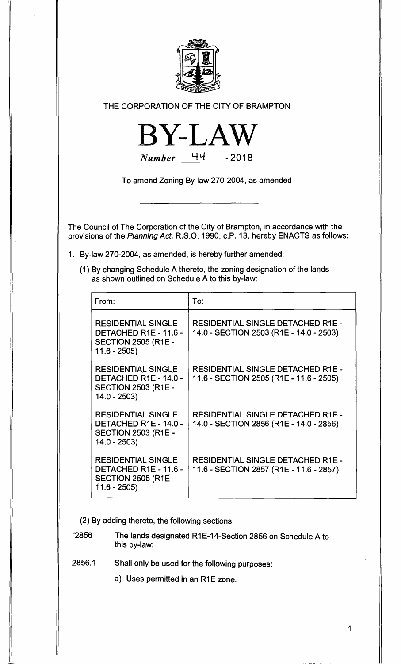

## **THE CORPORATION OF THE CITY OF BRAMPTON**



**To amend Zoning By-law 270-2004, as amended** 

**The Council of The Corporation of the City of Brampton, in accordance with the provisions of the Planning Act, R.S.O. 1990, c.P. 13, hereby ENACTS as follows:** 

- **1. By-law 270-2004, as amended, is hereby further amended:** 
	- **(1) By changing Schedule A thereto, the zoning designation of the lands as shown outlined on Schedule A to this by-law:**

| From:                                                                                                    | To:                                                                                 |
|----------------------------------------------------------------------------------------------------------|-------------------------------------------------------------------------------------|
| <b>RESIDENTIAL SINGLE</b><br>DETACHED R1E - 11.6 -<br><b>SECTION 2505 (R1E -</b><br>$11.6 - 2505$        | RESIDENTIAL SINGLE DETACHED R1E -<br>14.0 - SECTION 2503 (R1E - 14.0 - 2503)        |
| <b>RESIDENTIAL SINGLE</b><br><b>DETACHED R1E - 14.0 -</b><br><b>SECTION 2503 (R1E -</b><br>$14.0 - 2503$ | RESIDENTIAL SINGLE DETACHED R1E -<br>11.6 - SECTION 2505 (R1E - 11.6 - 2505)        |
| <b>RESIDENTIAL SINGLE</b><br>DETACHED R1E - 14.0 -<br><b>SECTION 2503 (R1E -</b><br>$14.0 - 2503$        | <b>RESIDENTIAL SINGLE DETACHED R1E -</b><br>14.0 - SECTION 2856 (R1E - 14.0 - 2856) |
| <b>RESIDENTIAL SINGLE</b><br>DETACHED R1E - 11.6 -<br><b>SECTION 2505 (R1E -</b><br>$11.6 - 2505$        | <b>RESIDENTIAL SINGLE DETACHED R1E -</b><br>11.6 - SECTION 2857 (R1E - 11.6 - 2857) |

**(2) By adding thereto, the following sections:** 

**"2856 The lands designated R1E-14-Section 2856 on Schedule A to this by-law:** 

**2856.1 Shall only be used for the following purposes:** 

**a) Uses permitted in an R1E zone.** 

**1**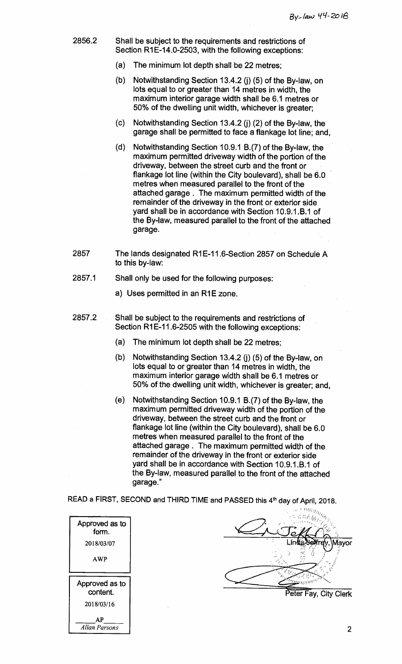- **2856.2 Shall be subject to the requirements and restrictions of Section R1E-14.0-2503, with the following exceptions:** 
	- **(a) The minimum lot depth shall be 22 metres;**
	- **(b) Notwithstanding Section 13.4.2 (j) (5) of the By-law, on lots equal to or greater than 14 metres in width, the maximum interior garage width shall be 6.1 metres or 50% of the dwelling unit width, whichever is greater;**
	- **(c) Notwithstanding Section 13.4.2 (j) (2) of the By-law, the garage shall be permitted to face a flankage lot line; and,**
	- **(d) Notwithstanding Section 10.9.1 B.(7) of the By-law, the maximum permitted driveway width of the portion of the driveway, between the street curb and the front or flankage lot line (within the City boulevard), shall be 6.0 metres when measured parallel to the front of the attached garage . The maximum permitted width of the remainder of the driveway in the front or exterior side**  vard shall be in accordance with Section 10.9.1.B.1 of **the By-law, measured parallel to the front of the attached garage.**
- **2857 The lands designated R1E-11.6-Section 2857 on Schedule A to this by-law:**
- **2857.1 Shall only be used for the following purposes:** 
	- **a) Uses permitted in an R1E zone.**
- **2857.2 Shall be subject to the requirements and restrictions of Section R1E-11.6-2505 with the following exceptions:** 
	- **(a) The minimum lot depth shall be 22 metres;**
	- **(b) Notwithstanding Section 13.4.2 (j) (5) of the By-law, on lots equal to or greater than 14 metres in width, the maximum interior garage width shall be 6.1 metres or 50% of the dwelling unit width, whichever is greater; and,**
	- **(e) Notwithstanding Section 10.9.1 B.(7) of the By-law, the maximum permitted driveway width of the portion of the driveway, between the street curb and the front or flankage lot line (within the City boulevard), shall be 6.0 metres when measured parallel to the front of the attached garage . The maximum permitted width of the remainder of the driveway in the front or exterior side**  yard shall be in accordance with Section 10.9.1.B.1 of **the By-law, measured parallel to the front of the attached garage."**

READ a FIRST, SECOND and THIRD TIME and PASSED this 4<sup>th</sup> day of April, 2018.



11(1(i/; **ayor**  steer tork **Peter Fay, City Clerk** 

**2**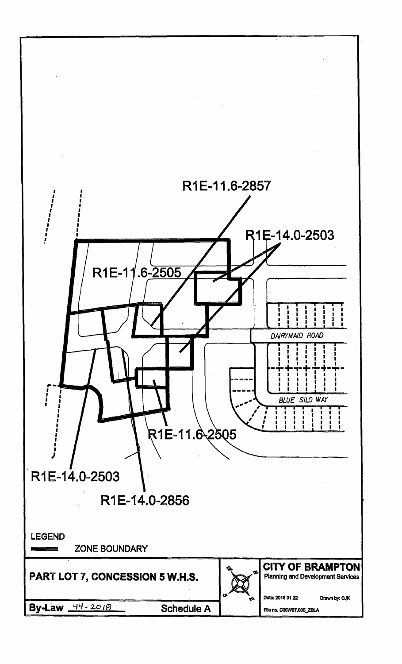